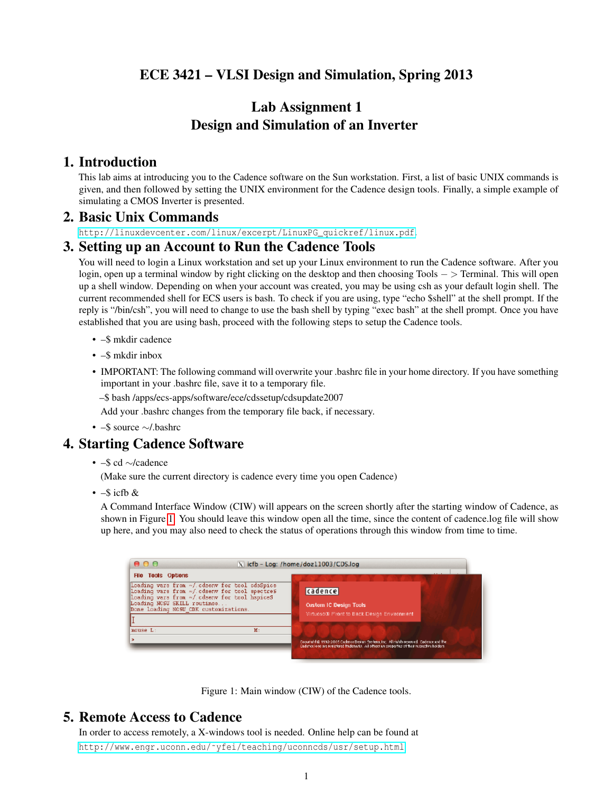# ECE 3421 – VLSI Design and Simulation, Spring 2013

# Lab Assignment 1 Design and Simulation of an Inverter

# 1. Introduction

This lab aims at introducing you to the Cadence software on the Sun workstation. First, a list of basic UNIX commands is given, and then followed by setting the UNIX environment for the Cadence design tools. Finally, a simple example of simulating a CMOS Inverter is presented.

#### 2. Basic Unix Commands

[http://linuxdevcenter.com/linux/excerpt/LinuxPG\\_quickref/linux.pdf](http://linuxdevcenter.com/linux/excerpt/LinuxPG_quickref/linux.pdf).

#### 3. Setting up an Account to Run the Cadence Tools

You will need to login a Linux workstation and set up your Linux environment to run the Cadence software. After you login, open up a terminal window by right clicking on the desktop and then choosing Tools − > Terminal. This will open up a shell window. Depending on when your account was created, you may be using csh as your default login shell. The current recommended shell for ECS users is bash. To check if you are using, type "echo \$shell" at the shell prompt. If the reply is "/bin/csh", you will need to change to use the bash shell by typing "exec bash" at the shell prompt. Once you have established that you are using bash, proceed with the following steps to setup the Cadence tools.

- –\$ mkdir cadence
- –\$ mkdir inbox
- IMPORTANT: The following command will overwrite your .bashrc file in your home directory. If you have something important in your .bashrc file, save it to a temporary file.
	- –\$ bash /apps/ecs-apps/software/ece/cdssetup/cdsupdate2007
	- Add your .bashrc changes from the temporary file back, if necessary.
- –\$ source ∼/.bashrc

#### 4. Starting Cadence Software

- –\$ cd ∼/cadence
- (Make sure the current directory is cadence every time you open Cadence)
- $\cdot$  –\$ icfb &

A Command Interface Window (CIW) will appears on the screen shortly after the starting window of Cadence, as shown in Figure [1.](#page-0-0) You should leave this window open all the time, since the content of cadence.log file will show up here, and you may also need to check the status of operations through this window from time to time.

| 000                                                                                                                                                                                                                                                 | N icfb - Log: /home/doz11003/CDS.log                                                                                                                                                       |
|-----------------------------------------------------------------------------------------------------------------------------------------------------------------------------------------------------------------------------------------------------|--------------------------------------------------------------------------------------------------------------------------------------------------------------------------------------------|
| <b>File Tools Options</b><br>Loading vars from ~/.cdsenv for tool cdsSpice<br>Loading vars from ~/.cdsenv for tool spectres<br>Loading vars from ~/.cdsenv for tool hspiceS<br>Loading NCSU SKILL routines<br>Done loading NCSU CDK customizations. | cadence<br><b>Custom IC Design Tools</b><br>Virtuoso® Front to Back Design Environment                                                                                                     |
| mouse L:<br>$\mathbf{M}$ :<br>ь                                                                                                                                                                                                                     | Coputishful 1992-2005 Cadence Desisto Conferration. All rish biteserved. Cadence and the<br>Dadence logo are registered fradenaris. All others are properties of their respective holders. |

<span id="page-0-0"></span>

# 5. Remote Access to Cadence

In order to access remotely, a X-windows tool is needed. Online help can be found at [http://www.engr.uconn.edu/˜yfei/teaching/uconncds/usr/setup.html](http://www.engr.uconn.edu/~yfei/teaching/uconncds/usr/setup.html)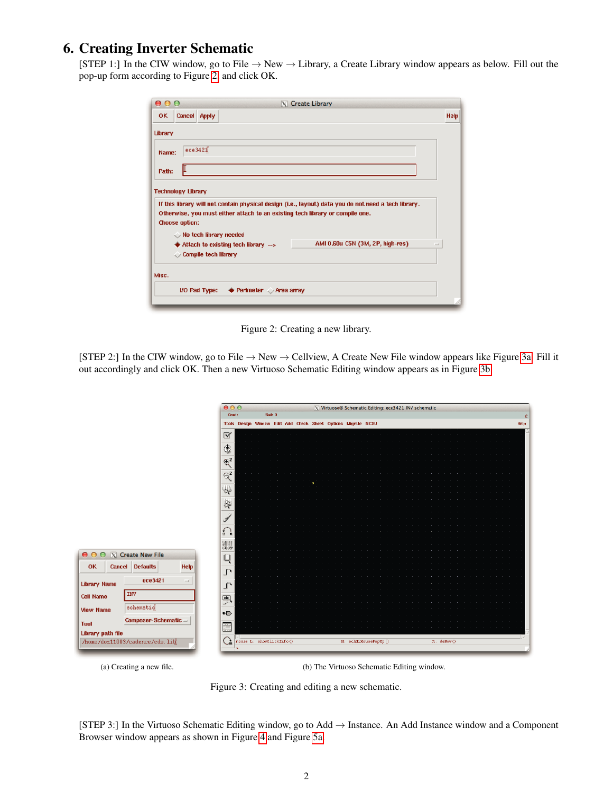# 6. Creating Inverter Schematic

[STEP 1:] In the CIW window, go to File  $\rightarrow$  New  $\rightarrow$  Library, a Create Library window appears as below. Fill out the pop-up form according to Figure [2,](#page-1-0) and click OK.

| 0.00    |                           |                                                     | $ X $ Create Library                                                                                                                                                                  |      |
|---------|---------------------------|-----------------------------------------------------|---------------------------------------------------------------------------------------------------------------------------------------------------------------------------------------|------|
| OK      | Cancel Apply              |                                                     |                                                                                                                                                                                       | Help |
| Library |                           |                                                     |                                                                                                                                                                                       |      |
| Name:   | ece3421                   |                                                     |                                                                                                                                                                                       |      |
| Path:   |                           |                                                     |                                                                                                                                                                                       |      |
|         | <b>Technology Library</b> |                                                     |                                                                                                                                                                                       |      |
|         | <b>Choose option:</b>     |                                                     | If this library will not contain physical design (i.e., layout) data you do not need a tech library.<br>Otherwise, you must either attach to an existing tech library or compile one. |      |
|         |                           | $\Diamond$ No tech library needed                   |                                                                                                                                                                                       |      |
|         |                           | $\blacklozenge$ Attach to existing tech library --> | AMI 0.60u C5N (3M, 2P, high-res)                                                                                                                                                      | -    |
|         |                           | Compile tech library                                |                                                                                                                                                                                       |      |
| Misc.   |                           |                                                     |                                                                                                                                                                                       |      |
|         |                           |                                                     |                                                                                                                                                                                       |      |
|         |                           | I/O Pad Type:<br>← Perimeter Area array             |                                                                                                                                                                                       |      |
|         |                           |                                                     |                                                                                                                                                                                       |      |

<span id="page-1-0"></span>Figure 2: Creating a new library.

[STEP 2:] In the CIW window, go to File  $\rightarrow$  New  $\rightarrow$  Cellview, A Create New File window appears like Figure [3a.](#page-1-1) Fill it out accordingly and click OK. Then a new Virtuoso Schematic Editing window appears as in Figure [3b.](#page-1-2)

<span id="page-1-1"></span>



<span id="page-1-2"></span>Figure 3: Creating and editing a new schematic.

[STEP 3:] In the Virtuoso Schematic Editing window, go to Add → Instance. An Add Instance window and a Component Browser window appears as shown in Figure [4](#page-2-0) and Figure [5a.](#page-2-1)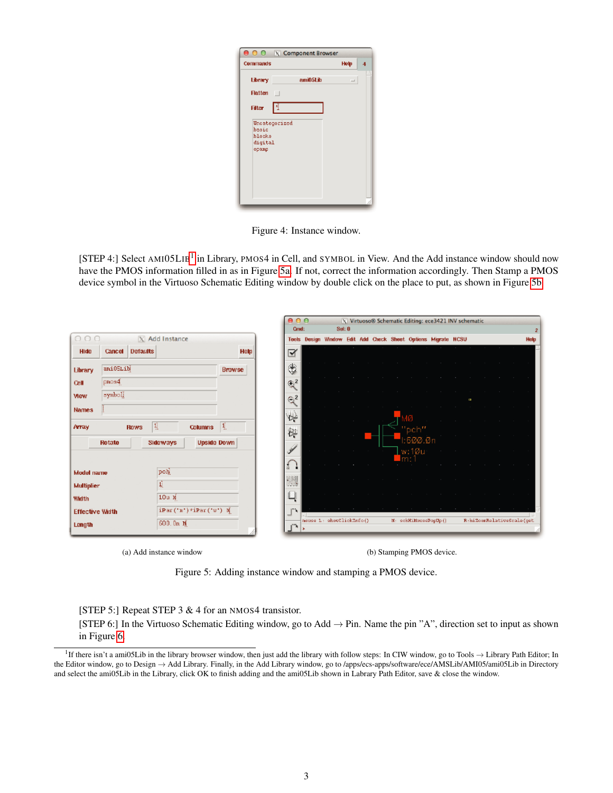|                                     | <b>O O X Component Browser</b> |                          |   |
|-------------------------------------|--------------------------------|--------------------------|---|
| <b>Commands</b>                     |                                | Help                     | л |
| Library                             | ami05Lib                       | $\overline{\phantom{a}}$ |   |
| <b>Flatten</b>                      | $\Box$                         |                          |   |
| <b>Filter</b>                       | 쳅                              |                          |   |
| basic<br>blocks<br>digital<br>opamp | Uncategorized                  |                          |   |
|                                     |                                |                          |   |

<span id="page-2-0"></span>Figure 4: Instance window.

[STEP 4:] Select AMI05LIB<sup>[1](#page-2-2)</sup> in Library, PMOS4 in Cell, and SYMBOL in View. And the Add instance window should now have the PMOS information filled in as in Figure [5a.](#page-2-1) If not, correct the information accordingly. Then Stamp a PMOS device symbol in the Virtuoso Schematic Editing window by double click on the place to put, as shown in Figure [5b.](#page-2-3)

<span id="page-2-1"></span>

| Sel: 0<br>Cmd:<br>000<br>$X$ Add Instance<br>Tools Design Window Edit Add Check Sheet Options Migrate NCSU<br><b>Help</b><br><b>Defaults</b><br>Cancel<br>Hide<br>নি<br>٩<br>ani05Lib<br><b>Browse</b><br><b>Library</b><br>$p_{\text{no}}$ s4<br>$\Leftrightarrow$ <sup>2</sup><br><b>Cell</b><br>symboli<br><b>Mew</b><br>تهیم<br>o.<br><b>Names</b><br><b>De</b><br>围<br>19<br><b>Columns</b><br>Array<br><b>Rows</b><br>"pch"<br>隙<br>1:600.0n<br>Sideways<br><b>Upside Down</b><br>Rotate<br>$Lw:1\varnothing u_1$<br>73<br>poh<br>Model name<br>飄<br>夏<br><b>Multiplier</b><br>ū<br>$10u$ $\chi$<br><b>Width</b><br>iPar('n')*iPar('w') $\breve{\mathbf{x}}$<br><b>Effective Width</b><br>nsusa 1: showElickInfo()<br>R:hiZomRelativeScale(get<br>M: schHildousePopUp() |  |           | 0.00 |  |  |  | X Virtuoso® Schematic Editing: ece3421 INV schematic |  |  |      |
|-------------------------------------------------------------------------------------------------------------------------------------------------------------------------------------------------------------------------------------------------------------------------------------------------------------------------------------------------------------------------------------------------------------------------------------------------------------------------------------------------------------------------------------------------------------------------------------------------------------------------------------------------------------------------------------------------------------------------------------------------------------------------------|--|-----------|------|--|--|--|------------------------------------------------------|--|--|------|
|                                                                                                                                                                                                                                                                                                                                                                                                                                                                                                                                                                                                                                                                                                                                                                               |  |           |      |  |  |  |                                                      |  |  |      |
|                                                                                                                                                                                                                                                                                                                                                                                                                                                                                                                                                                                                                                                                                                                                                                               |  |           |      |  |  |  |                                                      |  |  | Help |
|                                                                                                                                                                                                                                                                                                                                                                                                                                                                                                                                                                                                                                                                                                                                                                               |  |           |      |  |  |  |                                                      |  |  |      |
|                                                                                                                                                                                                                                                                                                                                                                                                                                                                                                                                                                                                                                                                                                                                                                               |  |           |      |  |  |  |                                                      |  |  |      |
|                                                                                                                                                                                                                                                                                                                                                                                                                                                                                                                                                                                                                                                                                                                                                                               |  |           |      |  |  |  |                                                      |  |  |      |
|                                                                                                                                                                                                                                                                                                                                                                                                                                                                                                                                                                                                                                                                                                                                                                               |  |           |      |  |  |  |                                                      |  |  |      |
|                                                                                                                                                                                                                                                                                                                                                                                                                                                                                                                                                                                                                                                                                                                                                                               |  |           |      |  |  |  |                                                      |  |  |      |
|                                                                                                                                                                                                                                                                                                                                                                                                                                                                                                                                                                                                                                                                                                                                                                               |  |           |      |  |  |  |                                                      |  |  |      |
|                                                                                                                                                                                                                                                                                                                                                                                                                                                                                                                                                                                                                                                                                                                                                                               |  |           |      |  |  |  |                                                      |  |  |      |
|                                                                                                                                                                                                                                                                                                                                                                                                                                                                                                                                                                                                                                                                                                                                                                               |  |           |      |  |  |  |                                                      |  |  |      |
|                                                                                                                                                                                                                                                                                                                                                                                                                                                                                                                                                                                                                                                                                                                                                                               |  |           |      |  |  |  |                                                      |  |  |      |
|                                                                                                                                                                                                                                                                                                                                                                                                                                                                                                                                                                                                                                                                                                                                                                               |  |           |      |  |  |  |                                                      |  |  |      |
|                                                                                                                                                                                                                                                                                                                                                                                                                                                                                                                                                                                                                                                                                                                                                                               |  |           |      |  |  |  |                                                      |  |  |      |
|                                                                                                                                                                                                                                                                                                                                                                                                                                                                                                                                                                                                                                                                                                                                                                               |  |           |      |  |  |  |                                                      |  |  |      |
| Length<br>خ می                                                                                                                                                                                                                                                                                                                                                                                                                                                                                                                                                                                                                                                                                                                                                                |  | 600.0n N. |      |  |  |  |                                                      |  |  |      |

(a) Add instance window (b) Stamping PMOS device.

<span id="page-2-3"></span>Figure 5: Adding instance window and stamping a PMOS device.

#### [STEP 5:] Repeat STEP 3 & 4 for an NMOS4 transistor.

[STEP 6:] In the Virtuoso Schematic Editing window, go to Add → Pin. Name the pin "A", direction set to input as shown in Figure [6.](#page-3-0)

<span id="page-2-2"></span><sup>&</sup>lt;sup>1</sup> If there isn't a ami05Lib in the library browser window, then just add the library with follow steps: In CIW window, go to Tools  $\rightarrow$  Library Path Editor; In the Editor window, go to Design → Add Library. Finally, in the Add Library window, go to /apps/ecs-apps/software/ece/AMSLib/AMI05/ami05Lib in Directory and select the ami05Lib in the Library, click OK to finish adding and the ami05Lib shown in Labrary Path Editor, save & close the window.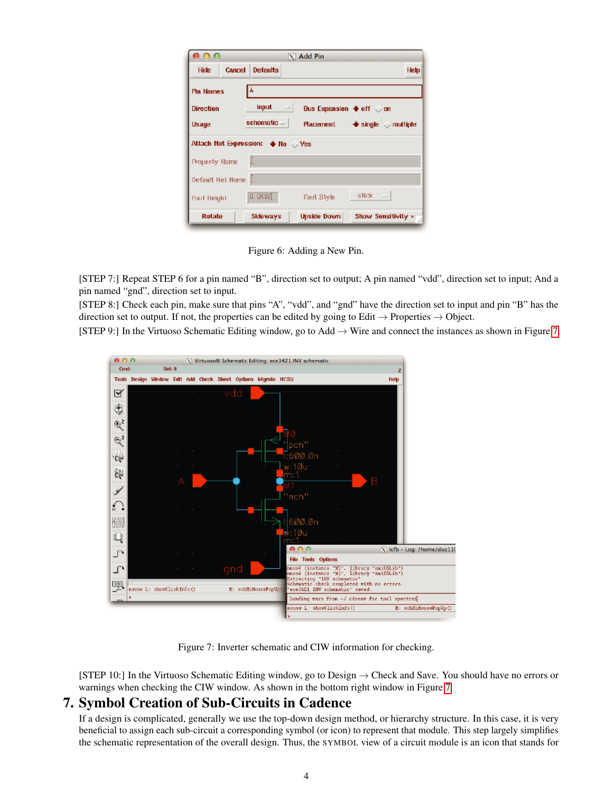| 000                     |               |                                 | $\times$ Add Pin                                  |                                              |  |  |  |  |  |  |  |
|-------------------------|---------------|---------------------------------|---------------------------------------------------|----------------------------------------------|--|--|--|--|--|--|--|
| Hide                    | <b>Cancel</b> | <b>Defaults</b>                 |                                                   | Help                                         |  |  |  |  |  |  |  |
| lÃ.<br><b>Pin Names</b> |               |                                 |                                                   |                                              |  |  |  |  |  |  |  |
| <b>Direction</b>        |               | <b>input</b><br>$\Box$          | Bus Expansion $\blacklozenge$ off $\heartsuit$ on |                                              |  |  |  |  |  |  |  |
| Usage                   |               | schematic =                     | Placement                                         | $\blacklozenge$ single $\heartsuit$ multiple |  |  |  |  |  |  |  |
|                         |               | Attach Net Expression: + No Ves |                                                   |                                              |  |  |  |  |  |  |  |
| <b>Boundy Bome</b>      |               | I.                              |                                                   |                                              |  |  |  |  |  |  |  |
| Default Net Borne       |               |                                 |                                                   |                                              |  |  |  |  |  |  |  |
| Fix it Reight           |               | 0 0625                          | Mark Style                                        | SSEX =                                       |  |  |  |  |  |  |  |
| <b>Rotate</b>           |               | Sideways                        | <b>Upside Down</b>                                | Show Sensitivity »:                          |  |  |  |  |  |  |  |

<span id="page-3-0"></span>Figure 6: Adding a New Pin.

[STEP 7:] Repeat STEP 6 for a pin named "B", direction set to output; A pin named "vdd", direction set to input; And a pin named "gnd", direction set to input.

[STEP 8:] Check each pin, make sure that pins "A", "vdd", and "gnd" have the direction set to input and pin "B" has the direction set to output. If not, the properties can be edited by going to Edit  $\rightarrow$  Properties  $\rightarrow$  Object.

[STEP 9:] In the Virtuoso Schematic Editing window, go to Add → Wire and connect the instances as shown in Figure [7.](#page-3-1)



Figure 7: Inverter schematic and CIW information for checking.

<span id="page-3-1"></span>[STEP 10:] In the Virtuoso Schematic Editing window, go to Design → Check and Save. You should have no errors or warnings when checking the CIW window. As shown in the bottom right window in Figure [7.](#page-3-1)

# 7. Symbol Creation of Sub-Circuits in Cadence

If a design is complicated, generally we use the top-down design method, or hierarchy structure. In this case, it is very beneficial to assign each sub-circuit a corresponding symbol (or icon) to represent that module. This step largely simplifies the schematic representation of the overall design. Thus, the SYMBOL view of a circuit module is an icon that stands for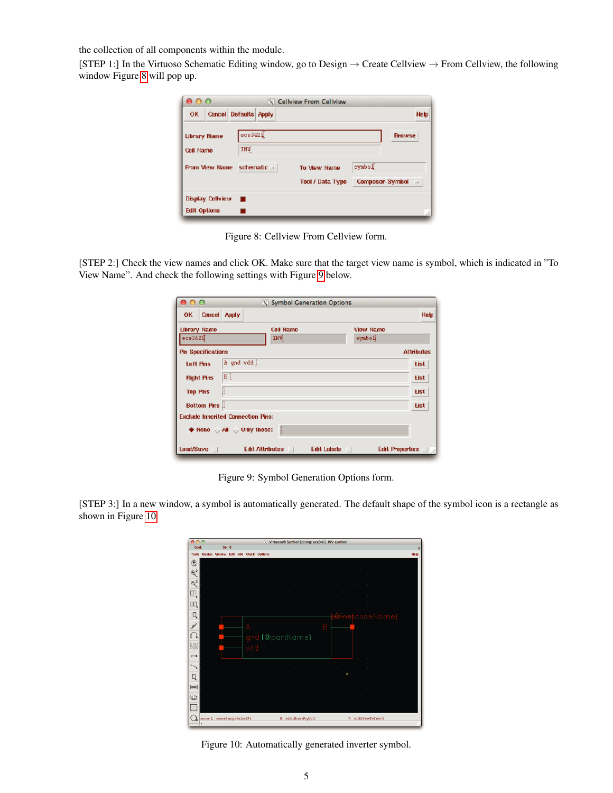the collection of all components within the module.

[STEP 1:] In the Virtuoso Schematic Editing window, go to Design → Create Cellview → From Cellview, the following window Figure [8](#page-4-0) will pop up.

| $\bullet\bullet\bullet$ |                         |                       |                  | X Cellview From Cellview         |                           |                   |
|-------------------------|-------------------------|-----------------------|------------------|----------------------------------|---------------------------|-------------------|
| <b>OK</b>               |                         | Cancel Defaults Apply |                  |                                  |                           | Help              |
| Cell Name               | <b>Library Name</b>     | $ $ есе342 $\P$<br>mū |                  |                                  |                           | <b>Browse</b>     |
|                         | From View Name          |                       | schematic $\Box$ | To View Name<br>Tool / Data Type | Sodaye<br>Composer-Symbol | $\qquad \qquad =$ |
|                         | <b>Display Cellview</b> |                       |                  |                                  |                           |                   |
| <b>Edit Options</b>     |                         |                       |                  |                                  |                           |                   |

<span id="page-4-0"></span>Figure 8: Cellview From Cellview form.

[STEP 2:] Check the view names and click OK. Make sure that the target view name is symbol, which is indicated in "To View Name". And check the following settings with Figure [9](#page-4-1) below.

| 000                       |                                                                    |                 | X Symbol Generation Options |           |                        |
|---------------------------|--------------------------------------------------------------------|-----------------|-----------------------------|-----------|------------------------|
| Cancel Apply<br><b>OK</b> |                                                                    |                 |                             |           | Help                   |
| Library Name              |                                                                    | Cell Name       |                             | View Name |                        |
| $ee$ 3421                 |                                                                    | INÝ.            |                             | symbol    |                        |
| <b>Pin Specifications</b> |                                                                    |                 |                             |           | <b>Attributes</b>      |
| Left Pins                 | A and vdd                                                          |                 |                             |           | List                   |
| <b>Right Pins</b>         | вĪ                                                                 |                 |                             |           | List                   |
| <b>Top Pins</b>           |                                                                    |                 |                             |           | <b>List</b>            |
| Bottom Pins               |                                                                    |                 |                             |           | List                   |
|                           | <b>Exclude Inherited Connection Pins:</b>                          |                 |                             |           |                        |
|                           | $\blacklozenge$ None $\Diamond$ All $\Diamond$ Only these: $\Vert$ |                 |                             |           |                        |
| Load/Save                 |                                                                    | Edit Attributes | Edit Labels                 |           | Edit Properties $\Box$ |

<span id="page-4-1"></span>Figure 9: Symbol Generation Options form.

[STEP 3:] In a new window, a symbol is automatically generated. The default shape of the symbol icon is a rectangle as shown in Figure [10.](#page-4-2)

| $\theta$         |                              |        |     |                                      |  |                       |  | V Virtuoso® Symbol Editing: ece3421 INV symbol |   |  |                            |  |      |
|------------------|------------------------------|--------|-----|--------------------------------------|--|-----------------------|--|------------------------------------------------|---|--|----------------------------|--|------|
| Cind:            |                              | Sel: 0 |     |                                      |  |                       |  |                                                |   |  |                            |  | 5    |
| <b>Tools</b>     |                              |        |     | Design Window Edit Add Check Options |  |                       |  |                                                |   |  |                            |  | Help |
| ٠                |                              |        |     |                                      |  |                       |  |                                                |   |  |                            |  |      |
| $\mathfrak{D}^2$ |                              |        |     |                                      |  |                       |  |                                                |   |  |                            |  |      |
| $\mathbb{R}^2$   |                              |        |     |                                      |  |                       |  |                                                |   |  |                            |  |      |
| $\Box$           |                              |        |     |                                      |  |                       |  |                                                |   |  |                            |  |      |
| Щ                |                              |        |     |                                      |  |                       |  |                                                |   |  |                            |  |      |
| Q                |                              |        |     |                                      |  |                       |  |                                                |   |  | <del>Dins</del> tanceName] |  |      |
| ¥                |                              |        |     |                                      |  |                       |  | В                                              |   |  |                            |  |      |
| €                |                              |        |     | gnd [@partName]                      |  |                       |  |                                                |   |  |                            |  |      |
| 翡                |                              |        | vdd |                                      |  |                       |  |                                                |   |  |                            |  |      |
| $-4$             |                              |        |     |                                      |  |                       |  |                                                |   |  |                            |  |      |
|                  |                              |        |     |                                      |  |                       |  |                                                |   |  |                            |  |      |
| Q                |                              |        |     |                                      |  |                       |  |                                                | c |  |                            |  |      |
| $[$ usak $]$     |                              |        |     |                                      |  |                       |  |                                                |   |  |                            |  |      |
| <b>W</b>         |                              |        |     |                                      |  |                       |  |                                                |   |  |                            |  |      |
| 芒                |                              |        |     |                                      |  |                       |  |                                                |   |  |                            |  |      |
|                  | mouse L: mouseSingleSelectPt |        |     |                                      |  | H: schftiMousePopUp() |  |                                                |   |  | R: schHiViewToView ()      |  | J.   |

<span id="page-4-2"></span>Figure 10: Automatically generated inverter symbol.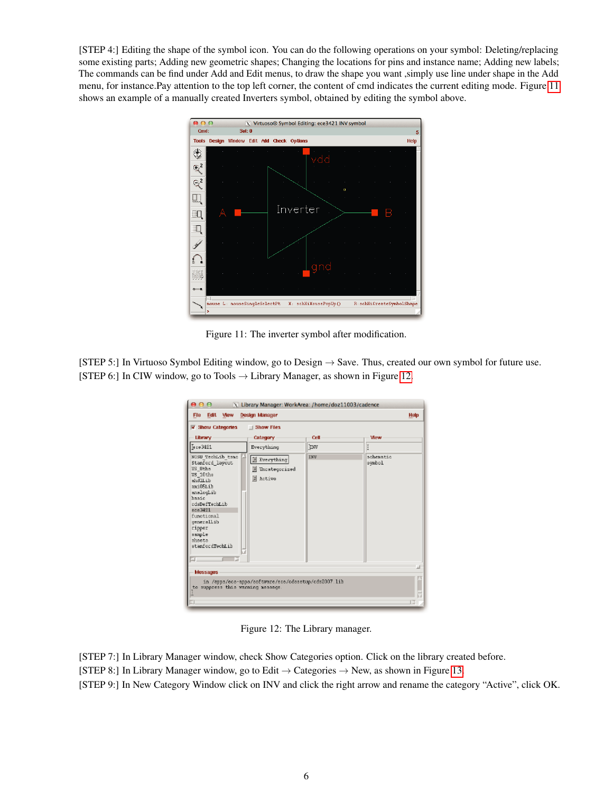[STEP 4:] Editing the shape of the symbol icon. You can do the following operations on your symbol: Deleting/replacing some existing parts; Adding new geometric shapes; Changing the locations for pins and instance name; Adding new labels; The commands can be find under Add and Edit menus, to draw the shape you want ,simply use line under shape in the Add menu, for instance.Pay attention to the top left corner, the content of cmd indicates the current editing mode. Figure [11](#page-5-0) shows an example of a manually created Inverters symbol, obtained by editing the symbol above.



<span id="page-5-0"></span>Figure 11: The inverter symbol after modification.

[STEP 5:] In Virtuoso Symbol Editing window, go to Design → Save. Thus, created our own symbol for future use. [STEP 6:] In CIW window, go to Tools  $\rightarrow$  Library Manager, as shown in Figure [12.](#page-5-1)

| 000                                                                                                                                                                                                                            |                                                           | X Library Manager: WorkArea: /home/doz11003/cadence |                     |
|--------------------------------------------------------------------------------------------------------------------------------------------------------------------------------------------------------------------------------|-----------------------------------------------------------|-----------------------------------------------------|---------------------|
| Edit -<br>View<br>File                                                                                                                                                                                                         | <b>Design Manager</b>                                     |                                                     | Help                |
| $\triangledown$ Show Categories                                                                                                                                                                                                | Show Files                                                |                                                     |                     |
| Library                                                                                                                                                                                                                        | Category                                                  | Cell                                                | <b>View</b>         |
| Fece 3421                                                                                                                                                                                                                      | Everything                                                | <b>INV</b>                                          | ĭ                   |
| NCSU TechLib tame<br>Stanford layout<br>US Sthe<br>US 10ths<br>shdlLib<br>aniOSLih<br>snalogLib<br>hasic<br>cdsDefTechLib<br>$vec-3421$<br>functional<br>generallib<br>ripper<br>sample<br>sheets<br>stanfordTechLib<br>G<br>а | E Everything<br><b>E</b> Uncategorized<br><b>E</b> Active | <b>INV</b>                                          | schematic<br>symbol |
| Messages                                                                                                                                                                                                                       |                                                           |                                                     |                     |
| to suppress this warning message.<br>o in                                                                                                                                                                                      | in /appa/eco-appa/software/ece/cdosetup/cds2007.lib       |                                                     |                     |
|                                                                                                                                                                                                                                |                                                           |                                                     |                     |

<span id="page-5-1"></span>Figure 12: The Library manager.

[STEP 7:] In Library Manager window, check Show Categories option. Click on the library created before. [STEP 8:] In Library Manager window, go to Edit  $\rightarrow$  Categories  $\rightarrow$  New, as shown in Figure [13.](#page-6-0) [STEP 9:] In New Category Window click on INV and click the right arrow and rename the category "Active", click OK.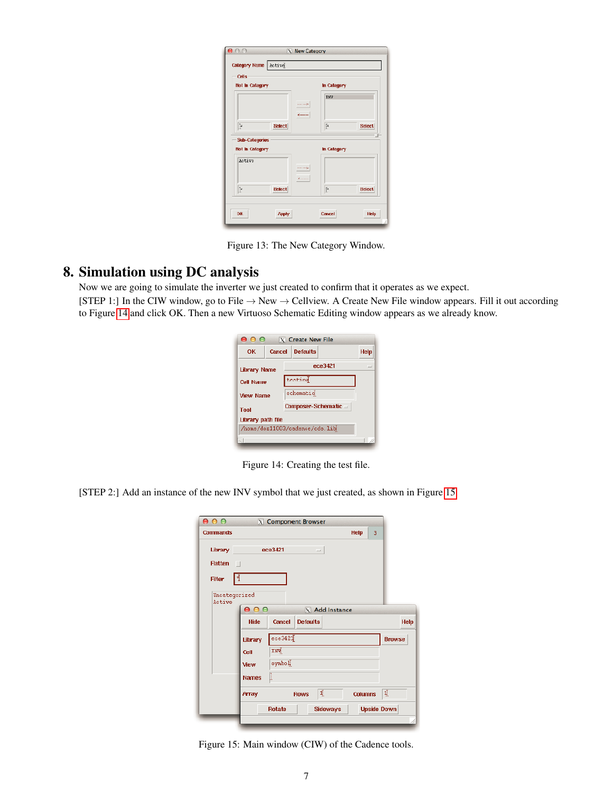| Category Name   Active<br>Cells             |                                   |             |               |
|---------------------------------------------|-----------------------------------|-------------|---------------|
| <b>Not in Category</b>                      |                                   | In Category |               |
|                                             | and car far<br><b>Contract</b>    | INV         |               |
| ŀ<br><b>Select</b><br><b>Sub-Categories</b> |                                   | Ť.          | Select        |
| Not in Category                             |                                   | In Category |               |
| Active                                      | <b>Samuelle</b><br><b>Rosener</b> |             |               |
| þ.<br>Select                                |                                   | ř.          | <b>Select</b> |

<span id="page-6-0"></span>Figure 13: The New Category Window.

# 8. Simulation using DC analysis

Now we are going to simulate the inverter we just created to confirm that it operates as we expect.

[STEP 1:] In the CIW window, go to File  $\rightarrow$  New  $\rightarrow$  Cellview. A Create New File window appears. Fill it out according to Figure [14](#page-6-1) and click OK. Then a new Virtuoso Schematic Editing window appears as we already know.

| 000                            |        | $ X $ Create New File |     |  |  |  |  |  |  |
|--------------------------------|--------|-----------------------|-----|--|--|--|--|--|--|
| ΩK                             | Cancel | Help                  |     |  |  |  |  |  |  |
| <b>Library Name</b>            |        | ece3421               | $=$ |  |  |  |  |  |  |
| <b>Cell Name</b>               |        | testing               |     |  |  |  |  |  |  |
| <b>View Name</b>               |        | schematic             |     |  |  |  |  |  |  |
| <b>Tool</b>                    |        | Composer-Schematic =  |     |  |  |  |  |  |  |
| Library path file              |        |                       |     |  |  |  |  |  |  |
| /home/doz11003/cadence/cds.lib |        |                       |     |  |  |  |  |  |  |
|                                |        |                       |     |  |  |  |  |  |  |

<span id="page-6-1"></span>Figure 14: Creating the test file.

[STEP 2:] Add an instance of the new INV symbol that we just created, as shown in Figure [15.](#page-6-2)

| 0.00            |                      |               | X Component Browser |                 |                  |                    |      |
|-----------------|----------------------|---------------|---------------------|-----------------|------------------|--------------------|------|
| <b>Commands</b> |                      |               |                     |                 | <b>Help</b><br>3 |                    |      |
| Library         |                      | ece3421       | $\equiv$            |                 |                  |                    |      |
| <b>Flatten</b>  |                      |               |                     |                 |                  |                    |      |
| <b>Filter</b>   | 団                    |               |                     |                 |                  |                    |      |
| Active          | Uncategorized<br>000 |               |                     | X Add Instance  |                  |                    |      |
|                 | Hide                 | Cancel        | <b>Defaults</b>     |                 |                  |                    | Help |
|                 | Library              | $\frac{1}{2}$ |                     |                 |                  | <b>Browse</b>      |      |
|                 | Cell                 | INV           |                     |                 |                  |                    |      |
|                 | View                 | ilodaye       |                     |                 |                  |                    |      |
|                 | <b>Names</b>         | li            |                     |                 |                  |                    |      |
|                 | <b>Array</b>         |               | <b>Rows</b>         | 4               | <b>Columns</b>   | ₫.                 |      |
|                 |                      | <b>Rotate</b> |                     | <b>Sideways</b> |                  | <b>Upside Down</b> |      |
|                 |                      |               |                     |                 |                  |                    |      |

<span id="page-6-2"></span>Figure 15: Main window (CIW) of the Cadence tools.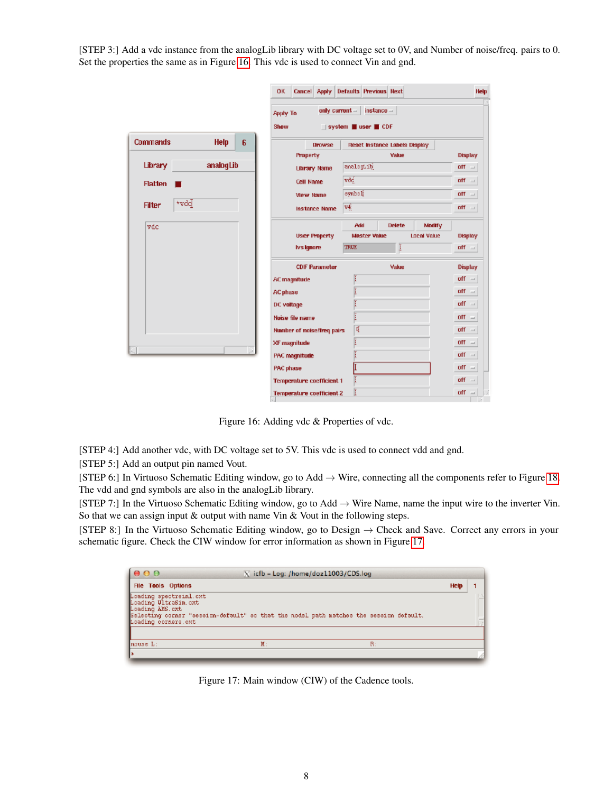[STEP 3:] Add a vdc instance from the analogLib library with DC voltage set to 0V, and Number of noise/freq. pairs to 0. Set the properties the same as in Figure [16.](#page-7-0) This vdc is used to connect Vin and gnd.

|                       |             |   | ок                               |                      |              | Cancel Apply Defaults Previous Next |                                      |                    | Help                 |
|-----------------------|-------------|---|----------------------------------|----------------------|--------------|-------------------------------------|--------------------------------------|--------------------|----------------------|
|                       |             |   | <b>Apply To</b><br>Show          |                      | only current | $instance =$<br>system user CDF     |                                      |                    |                      |
| <b>Commands</b>       | <b>Help</b> | 6 |                                  | <b>Browse</b>        |              |                                     | <b>Reset Instance Labels Display</b> |                    |                      |
|                       |             |   | <b>Property</b>                  |                      |              |                                     | Value                                |                    | <b>Display</b>       |
| Library               | analogLib   |   |                                  | Library Name         |              | analoguib                           |                                      |                    | off<br>$\equiv$      |
| <b>Flatten</b>        |             |   | Cell Name                        |                      | vdd          |                                     |                                      |                    | off<br>$\equiv$      |
|                       |             |   | <b>View Name</b>                 |                      | synboli      |                                     |                                      |                    | off<br>$\mathcal{L}$ |
| +vdd<br><b>Filter</b> |             |   |                                  | <b>Instance Name</b> | 44           |                                     |                                      |                    | off<br>$\equiv$      |
| vdc                   |             |   |                                  |                      |              | <b>Add</b>                          | <b>Delete</b>                        | Modify             |                      |
|                       |             |   |                                  | <b>User Property</b> |              | <b>Master Value</b>                 |                                      | <b>Local Value</b> | <b>Display</b>       |
|                       |             |   | <b>Ivstgnore</b>                 |                      | <b>TRUE</b>  |                                     | Ī                                    |                    | $\mathbf{r}$         |
|                       |             |   |                                  | <b>CDF Parameter</b> |              |                                     | Value                                |                    | <b>Display</b>       |
|                       |             |   | <b>AC magnitude</b>              |                      |              |                                     |                                      |                    | $\mathsf{off}$ =     |
|                       |             |   | AC phase                         |                      |              |                                     |                                      |                    | off<br>$\equiv$      |
|                       |             |   | DC voltage                       |                      |              |                                     |                                      |                    | off<br>$\sim$        |
|                       |             |   | Noise file name                  |                      |              |                                     |                                      |                    | off<br>$\sim$        |
|                       |             |   | Number of noise/freq pairs       |                      |              | 嘖                                   |                                      |                    | off<br>$\equiv$      |
|                       |             |   | XF magnitude                     |                      |              |                                     |                                      |                    | off<br>$\equiv$      |
| чJ                    |             |   | PAC magnitude                    |                      |              |                                     |                                      |                    | off<br>$\equiv$      |
|                       |             |   | PAC phase                        |                      |              |                                     |                                      |                    | off.<br>$\equiv$     |
|                       |             |   | Temperature coefficient 1        |                      |              |                                     |                                      |                    | off<br>$\sim$        |
|                       |             |   | <b>Temperature coefficient 2</b> |                      |              |                                     |                                      |                    | $=$ 110              |

<span id="page-7-0"></span>Figure 16: Adding vdc & Properties of vdc.

[STEP 4:] Add another vdc, with DC voltage set to 5V. This vdc is used to connect vdd and gnd.

[STEP 5:] Add an output pin named Vout.

[STEP 6:] In Virtuoso Schematic Editing window, go to Add → Wire, connecting all the components refer to Figure [18.](#page-8-0) The vdd and gnd symbols are also in the analogLib library.

[STEP 7:] In the Virtuoso Schematic Editing window, go to Add → Wire Name, name the input wire to the inverter Vin. So that we can assign input & output with name Vin & Vout in the following steps.

[STEP 8:] In the Virtuoso Schematic Editing window, go to Design → Check and Save. Correct any errors in your schematic figure. Check the CIW window for error information as shown in Figure [17.](#page-7-1)

| 000                                                                                      | X icfb - Log: /home/doz11003/CDS.log                                                   |      |  |
|------------------------------------------------------------------------------------------|----------------------------------------------------------------------------------------|------|--|
| <b>File Tools Options</b>                                                                |                                                                                        | Help |  |
| Loading spectrainl.cxt<br>Loading UltraSin.cxt<br>Loading AMS.cxt<br>Loading corners.cxt | Selecting corner "session-default" so that the model path matches the session default. |      |  |
| $house L:$                                                                               | $M$ :                                                                                  | B:   |  |
|                                                                                          |                                                                                        |      |  |

<span id="page-7-1"></span>Figure 17: Main window (CIW) of the Cadence tools.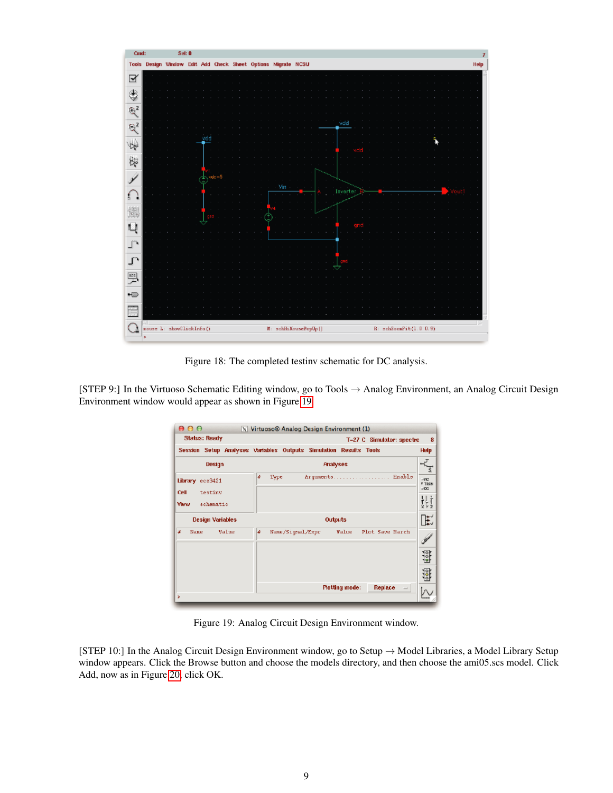

<span id="page-8-0"></span>Figure 18: The completed testinv schematic for DC analysis.

[STEP 9:] In the Virtuoso Schematic Editing window, go to Tools → Analog Environment, an Analog Circuit Design Environment window would appear as shown in Figure [19.](#page-8-1)

| <b>Status: Ready</b>               | T-27 C Simulator: spectre                                         | 8                             |
|------------------------------------|-------------------------------------------------------------------|-------------------------------|
|                                    | Session Setup Analyses Variables Outputs Simulation Results Tools | Help                          |
| Design                             | <b>Phalyses</b>                                                   |                               |
| Library ece3421<br>Cell<br>testiny | Arquments Enable<br>毒<br>Type                                     | 400<br><b>F TRAN</b><br>$-DC$ |
| <b>View</b><br>schematic           |                                                                   | H<br>$X$ $Y$ $Z$              |
| <b>Design Variables</b>            | <b>Outputs</b>                                                    | E                             |
| Value<br>x<br>Nane                 | Value<br>Plot Save March<br>步<br>Name/Signal/Expr                 |                               |
|                                    |                                                                   | $\frac{1}{2}$                 |
|                                    |                                                                   | $\frac{1}{200}$               |
| ×                                  | Replace<br><b>Plotting mode:</b><br>$\overline{\phantom{a}}$      |                               |

<span id="page-8-1"></span>Figure 19: Analog Circuit Design Environment window.

[STEP 10:] In the Analog Circuit Design Environment window, go to Setup → Model Libraries, a Model Library Setup window appears. Click the Browse button and choose the models directory, and then choose the ami05.scs model. Click Add, now as in Figure [20,](#page-9-0) click OK.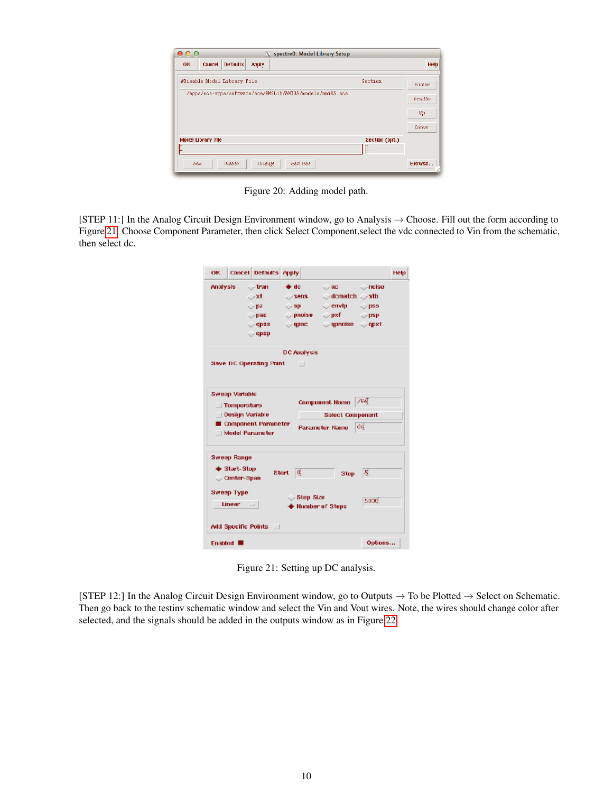| 000<br><b>OK</b> | X spectre0: Model Library Setup<br><b>Cancel</b><br><b>Defaults</b><br><b>Apply</b> |                | <b>Help</b>     |
|------------------|-------------------------------------------------------------------------------------|----------------|-----------------|
|                  |                                                                                     |                |                 |
|                  | #Disable   Model Library File                                                       | Section        | <b>Sunder</b>   |
|                  | /apps/ecs-apps/software/ece/AMSLib/AMIO5/models/ani05.scs                           |                | <b>Bisalite</b> |
|                  |                                                                                     |                |                 |
|                  |                                                                                     |                | 明               |
|                  |                                                                                     |                | Dovm            |
|                  | <b>Model Library File</b>                                                           | Section (opt.) |                 |
|                  |                                                                                     |                |                 |

<span id="page-9-0"></span>Figure 20: Adding model path.

[STEP 11:] In the Analog Circuit Design Environment window, go to Analysis  $\rightarrow$  Choose. Fill out the form according to Figure [21.](#page-9-1) Choose Component Parameter, then click Select Component,select the vdc connected to Vin from the schematic, then select dc.

| OK.             |                                    | <b>Cancel Defaults Apply</b>                  |                              |                                                 |      | Help |
|-----------------|------------------------------------|-----------------------------------------------|------------------------------|-------------------------------------------------|------|------|
| <b>Analysis</b> |                                    | $\vee$ tran                                   | o⊁dc ∴                       | $\Diamond$ ac $\Diamond$ noise                  |      |      |
|                 |                                    | ⇔xf –                                         | $\sim$ sens $-$              | $\bigcirc$ dematch $\bigcirc$ sth               |      |      |
|                 |                                    | $\bigcirc$ pz $-$                             | $\bigcirc$ sp $\blacksquare$ | $\Diamond$ envip $\Diamond$ pss                 |      |      |
|                 |                                    | $\triangledown$ pac $\blacksquare$            |                              | $\Diamond$ pnoise $\Diamond$ pxf $\Diamond$ psp |      |      |
|                 |                                    | $\Diamond$ qpss                               | $\Diamond$ qpac              | $\Diamond$ qpnotse $\Diamond$ qpxf              |      |      |
|                 |                                    | $\Diamond$ qpsp                               |                              |                                                 |      |      |
|                 |                                    |                                               | <b>DC Analysis</b>           |                                                 |      |      |
|                 |                                    | Save DC Operating Point                       |                              |                                                 |      |      |
|                 |                                    |                                               |                              |                                                 |      |      |
|                 | <b>Sweep Variable</b>              |                                               |                              |                                                 |      |      |
|                 | $\Box$ Temperature                 |                                               |                              | <b>Component Name</b>                           | 7V4T |      |
|                 |                                    |                                               |                              |                                                 |      |      |
|                 |                                    |                                               |                              |                                                 |      |      |
|                 | Design Variable                    |                                               |                              | <b>Select Component</b>                         |      |      |
|                 |                                    | Component Parameter<br><b>Nodel Parameter</b> |                              | Parameter Name                                  | đđ.  |      |
|                 |                                    |                                               |                              |                                                 |      |      |
|                 | <b>Sweep Range</b>                 |                                               |                              |                                                 |      |      |
|                 |                                    |                                               |                              |                                                 |      |      |
|                 | ♦ Start-Stop<br><b>Center-Span</b> |                                               | Start $\mathfrak{g}$         | Stop.                                           | 5.   |      |
|                 |                                    |                                               |                              |                                                 |      |      |
|                 | Sweep Type                         |                                               | $\circ$ Step Size            |                                                 |      |      |
|                 | $Linear = \square$                 |                                               |                              | <b>Number of Steps</b>                          | 5000 |      |
|                 |                                    | Add Specific Points                           |                              |                                                 |      |      |

<span id="page-9-1"></span>Figure 21: Setting up DC analysis.

[STEP 12:] In the Analog Circuit Design Environment window, go to Outputs  $\rightarrow$  To be Plotted  $\rightarrow$  Select on Schematic. Then go back to the testinv schematic window and select the Vin and Vout wires. Note, the wires should change color after selected, and the signals should be added in the outputs window as in Figure [22.](#page-10-0)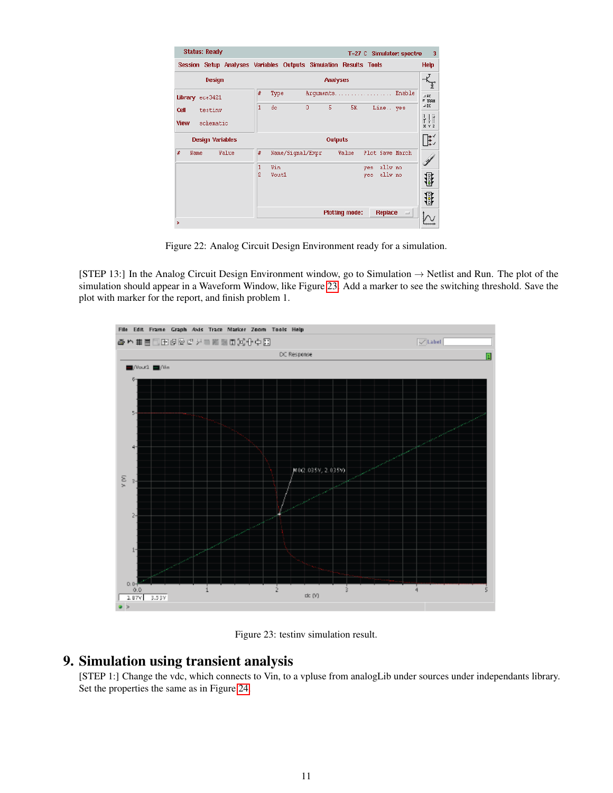| <b>Status: Ready</b>     | T=27 C Simulator: spectre                                         | 3                                                                                                                         |
|--------------------------|-------------------------------------------------------------------|---------------------------------------------------------------------------------------------------------------------------|
|                          | Session Setup Analyses Variables Outputs Simulation Results Tools | Help                                                                                                                      |
| Design                   | <b>Analyses</b>                                                   |                                                                                                                           |
| Library ece3421          | Enable<br>#<br>Type<br>Arguments                                  | $=$ RC<br><b>E TRAN</b>                                                                                                   |
| Cell<br>testiny          | 5<br>1<br>de.<br>$\theta$<br>5K<br>Line<br>ves                    | a po                                                                                                                      |
| <b>View</b><br>schematic |                                                                   | $\begin{array}{c} \begin{array}{c} \begin{array}{c} \text{1} \\ \text{T} \\ \text{X} \end{array} \end{array} \end{array}$ |
| <b>Design Variables</b>  | <b>Outputs</b>                                                    | 联                                                                                                                         |
| Value<br>#<br>Name       | Value<br>Plot Save March<br>#<br>Name/Signal/Expr                 |                                                                                                                           |
|                          | 1<br>Vin<br>ally no<br>ves                                        |                                                                                                                           |
|                          | 2<br>ally no<br>Vout1<br>yes                                      | <b>i</b> se                                                                                                               |
|                          |                                                                   | $\frac{1}{2}$                                                                                                             |
| ×                        | <b>Plotting mode:</b><br><b>Replace</b><br>$\equiv$               |                                                                                                                           |

<span id="page-10-0"></span>Figure 22: Analog Circuit Design Environment ready for a simulation.

[STEP 13:] In the Analog Circuit Design Environment window, go to Simulation  $\rightarrow$  Netlist and Run. The plot of the simulation should appear in a Waveform Window, like Figure [23.](#page-10-1) Add a marker to see the switching threshold. Save the plot with marker for the report, and finish problem 1.



<span id="page-10-1"></span>Figure 23: testinv simulation result.

#### 9. Simulation using transient analysis

[STEP 1:] Change the vdc, which connects to Vin, to a vpluse from analogLib under sources under independants library. Set the properties the same as in Figure [24.](#page-11-0)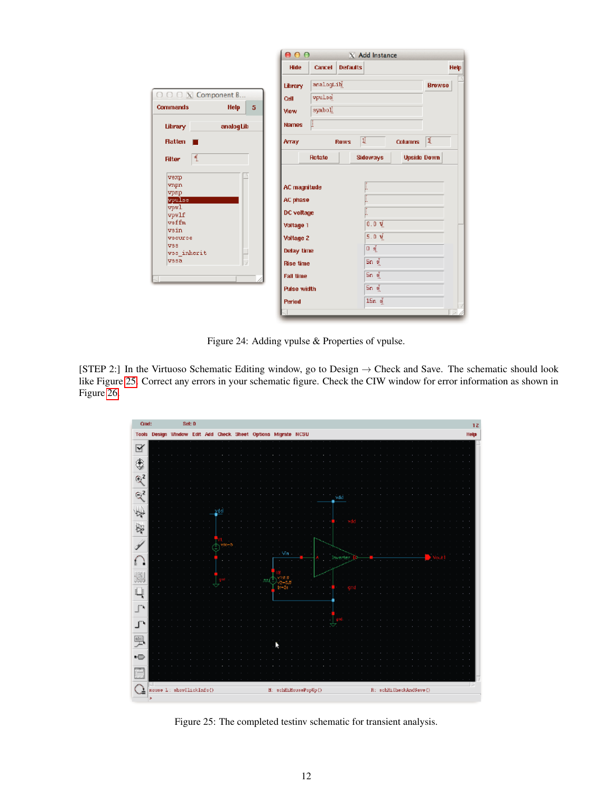|                                                                                                              |                                                                                                                                                                      | 000                                  |                 |                                                                        | X Add Instance |                    |      |
|--------------------------------------------------------------------------------------------------------------|----------------------------------------------------------------------------------------------------------------------------------------------------------------------|--------------------------------------|-----------------|------------------------------------------------------------------------|----------------|--------------------|------|
|                                                                                                              | Hide                                                                                                                                                                 | <b>Cancel</b>                        | <b>Defaults</b> |                                                                        |                |                    | Help |
| $\bigcirc$ $\bigcirc$ $\bigcirc$ $\mathbf{X}$ Component B<br><b>Commands</b><br><b>Help</b><br>5             | Library<br>Cell<br>View                                                                                                                                              | analogLih<br><b>vpulse</b><br>symbol |                 |                                                                        |                | <b>Browse</b>      |      |
| analogLib<br>Library                                                                                         | <b>Names</b>                                                                                                                                                         | l                                    |                 |                                                                        |                |                    |      |
| <b>Hatten</b>                                                                                                | <b>Array</b>                                                                                                                                                         |                                      | <b>Rows</b>     | 围.                                                                     | <b>Columns</b> | 1                  |      |
| 産<br><b>Filter</b>                                                                                           |                                                                                                                                                                      | Rotate                               |                 | <b>Sideways</b>                                                        |                | <b>Upside Down</b> |      |
| vexp<br>vnpn<br>vpnp<br>vpulse<br>vpul<br>vpwlf<br>$v$ sffm<br>vsin<br>vsource<br>VSS<br>vss inherit<br>vssa | <b>AC magnitude</b><br>AC phase<br>DC voltage<br>Voltage 1<br><b>Voltage 2</b><br>Delay time<br><b>Rise time</b><br><b>Fall time</b><br><b>Pulse width</b><br>Period |                                      |                 | 0.0V<br>$5.0 \frac{1}{2}$<br>Οğ<br>5ກ ຊ້<br>Sn &<br>Sn §<br>$15n \leq$ |                |                    |      |

<span id="page-11-0"></span>Figure 24: Adding vpulse & Properties of vpulse.

[STEP 2:] In the Virtuoso Schematic Editing window, go to Design  $\rightarrow$  Check and Save. The schematic should look like Figure [25.](#page-11-1) Correct any errors in your schematic figure. Check the CIW window for error information as shown in Figure [26.](#page-12-0)



<span id="page-11-1"></span>Figure 25: The completed testinv schematic for transient analysis.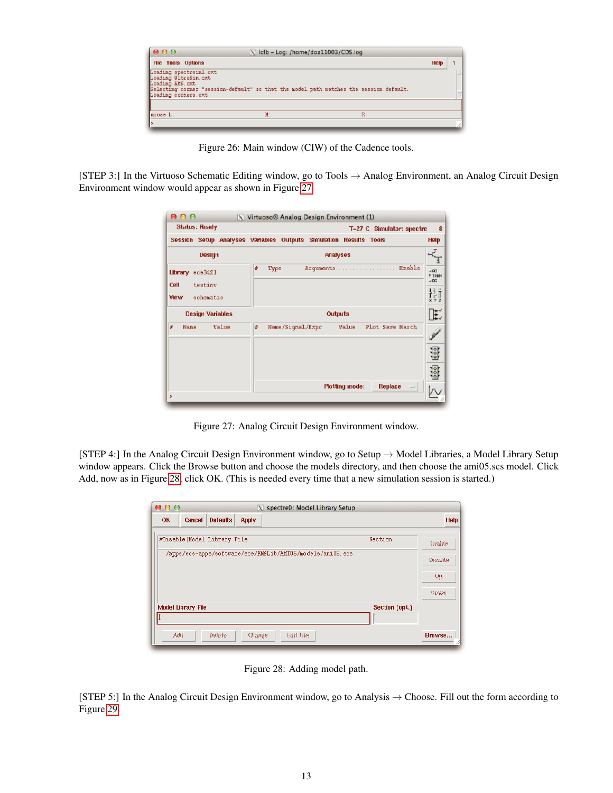| 000                                                                                       | X icfb - Log: /home/doz11003/CDS.log                                                   |    |      |  |
|-------------------------------------------------------------------------------------------|----------------------------------------------------------------------------------------|----|------|--|
| <b>File Tools Options</b>                                                                 |                                                                                        |    | Help |  |
| Loading spectreinl.cxt<br>Loading UltraSin.cxt<br>Loading AMS, ext<br>Loading corners oxt | Selecting corner "session-default" so that the model path matches the session default. |    |      |  |
| have L:                                                                                   | $M$ :                                                                                  | R: |      |  |
|                                                                                           |                                                                                        |    |      |  |

<span id="page-12-0"></span>Figure 26: Main window (CIW) of the Cadence tools.

[STEP 3:] In the Virtuoso Schematic Editing window, go to Tools → Analog Environment, an Analog Circuit Design Environment window would appear as shown in Figure [27.](#page-12-1)

| <b>Status: Ready</b>               | T-27 C Simulator: spectre                                         | 8                                                                                          |
|------------------------------------|-------------------------------------------------------------------|--------------------------------------------------------------------------------------------|
|                                    | Session Setup Analyses Variables Outputs Simulation Results Tools | <b>Help</b>                                                                                |
| Design                             | <b>Pinalyses</b>                                                  | €                                                                                          |
| Library ece3421<br>Cell<br>testiny | Arquments Enable<br>#<br>Type                                     | $-100$<br><b>F TRAN</b><br>$-100$                                                          |
| <b>View</b><br>schematic           |                                                                   | $\begin{array}{c} \n \frac{1}{2} & \frac{1}{2} \\ \frac{1}{2} & \frac{1}{2}\n \end{array}$ |
| <b>Design Variables</b>            | <b>Outputs</b>                                                    | E                                                                                          |
| Value<br>x<br>Nane                 | Value Plot Save March<br>x<br>Name/Siqnal/Expr                    |                                                                                            |
|                                    |                                                                   | 18                                                                                         |
|                                    |                                                                   | $\frac{1}{200}$                                                                            |
| ×                                  | <b>Plotting mode:</b><br>Replace<br>$\equiv$                      |                                                                                            |

<span id="page-12-1"></span>Figure 27: Analog Circuit Design Environment window.

[STEP 4:] In the Analog Circuit Design Environment window, go to Setup  $\rightarrow$  Model Libraries, a Model Library Setup window appears. Click the Browse button and choose the models directory, and then choose the ami05.scs model. Click Add, now as in Figure [28,](#page-12-2) click OK. (This is needed every time that a new simulation session is started.)

| 000<br>X spectre0: Model Library Setup                    |                |                  |
|-----------------------------------------------------------|----------------|------------------|
| Cancel<br><b>Defaults</b><br><b>OK</b><br><b>Apply</b>    |                | <b>Help</b>      |
| #Disable Model Library File                               | Section        | <b>Standard</b>  |
| /apps/ecs-apps/softvare/ece/AMSLib/AMIO5/models/ani05.scs |                | <b>Bistalita</b> |
|                                                           |                | 明                |
|                                                           |                | Dovm             |
| <b>Model Library File</b>                                 | Section (opt.) |                  |
|                                                           | U.             |                  |
|                                                           |                | Browse           |

<span id="page-12-2"></span>Figure 28: Adding model path.

[STEP 5:] In the Analog Circuit Design Environment window, go to Analysis  $\rightarrow$  Choose. Fill out the form according to Figure [29.](#page-13-0)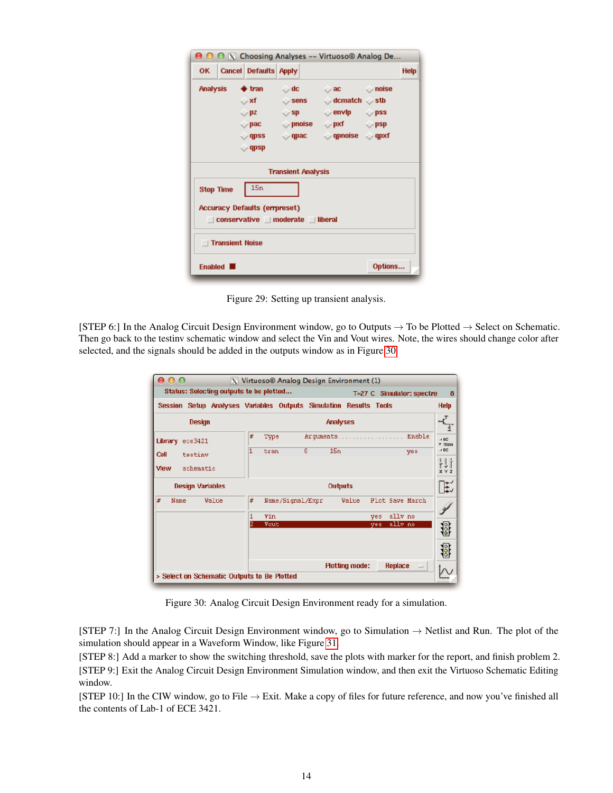|                  |                        |                                                                                                          |                                                                               | <b>O O X</b> Choosing Analyses -- Virtuoso® Analog De                                                                                                                                                                   |         |             |
|------------------|------------------------|----------------------------------------------------------------------------------------------------------|-------------------------------------------------------------------------------|-------------------------------------------------------------------------------------------------------------------------------------------------------------------------------------------------------------------------|---------|-------------|
|                  |                        | OK   Cancel Defaults   Apply                                                                             |                                                                               |                                                                                                                                                                                                                         |         | <b>Help</b> |
| <b>Analysis</b>  |                        | $\bullet$ tran<br>⇔xf ∴<br>$\triangledown$ pz $\blacksquare$<br>$\vee$ pac<br>$\vee$ qpss<br>$\vee$ qpsp | $\sim$ dc $\sim$<br>$\triangleright$ sens<br>$\vee$ spectron of $\mathsf{sp}$ | $\vee$ ac $\qquad \qquad \wedge$ noise<br>$\Diamond$ dcmatch $\Diamond$ stb<br>$\Diamond$ envip $\Diamond$ pss<br>$\Diamond$ pnoise $\Diamond$ pxf $\Diamond$ psp<br>$\Diamond$ qpac $\Diamond$ qpnoise $\Diamond$ qpxf |         |             |
|                  |                        |                                                                                                          | <b>Transient Analysis</b>                                                     |                                                                                                                                                                                                                         |         |             |
| <b>Stop Time</b> |                        | 15n                                                                                                      |                                                                               |                                                                                                                                                                                                                         |         |             |
|                  |                        | <b>Accuracy Defaults (empreset)</b>                                                                      | conservative   moderate   liberal                                             |                                                                                                                                                                                                                         |         |             |
|                  | <b>Transient Noise</b> |                                                                                                          |                                                                               |                                                                                                                                                                                                                         |         |             |
|                  | Enabled <b>N</b>       |                                                                                                          |                                                                               |                                                                                                                                                                                                                         | Options |             |

<span id="page-13-0"></span>Figure 29: Setting up transient analysis.

[STEP 6:] In the Analog Circuit Design Environment window, go to Outputs  $\rightarrow$  To be Plotted  $\rightarrow$  Select on Schematic. Then go back to the testinv schematic window and select the Vin and Vout wires. Note, the wires should change color after selected, and the signals should be added in the outputs window as in Figure [30.](#page-13-1)

|                                             | Status: Selecting outputs to be plotted<br>T=27 C Simulator: spectre | 8                                  |
|---------------------------------------------|----------------------------------------------------------------------|------------------------------------|
| Session                                     | Setup Analyses Variables Outputs Simulation Results Tools            | <b>Help</b>                        |
| Design                                      | Analyses                                                             |                                    |
| Library<br>ece3421                          | Enable<br>#<br>Arquments<br>Type                                     | $\rightarrow$ BC.<br><b>E TRAN</b> |
| Cell<br>testing                             | 15n<br>1<br>O<br>tran<br>yes                                         | $\rightarrow$ DC.                  |
| <b>View</b><br>schematic                    |                                                                      | H<br>$X$ $Y$ $Z$                   |
| <b>Design Variables</b>                     | <b>Outputs</b>                                                       | E                                  |
| #<br>Value<br>Name                          | #<br>Plot Save March<br>Value<br>Name/Signal/Expr                    |                                    |
|                                             | ally no<br>1<br><b>Yin</b><br>ves                                    |                                    |
|                                             | 2<br>ally no<br>Vout<br>ves                                          | ist<br>19                          |
|                                             |                                                                      | 18                                 |
| > Select on Schematic Outputs to Be Plotted | <b>Plotting mode:</b><br>Replace<br>$\qquad \qquad =$                |                                    |

<span id="page-13-1"></span>Figure 30: Analog Circuit Design Environment ready for a simulation.

[STEP 7:] In the Analog Circuit Design Environment window, go to Simulation  $\rightarrow$  Netlist and Run. The plot of the simulation should appear in a Waveform Window, like Figure [31.](#page-14-0)

[STEP 8:] Add a marker to show the switching threshold, save the plots with marker for the report, and finish problem 2. [STEP 9:] Exit the Analog Circuit Design Environment Simulation window, and then exit the Virtuoso Schematic Editing window.

[STEP 10:] In the CIW window, go to File  $\rightarrow$  Exit. Make a copy of files for future reference, and now you've finished all the contents of Lab-1 of ECE 3421.